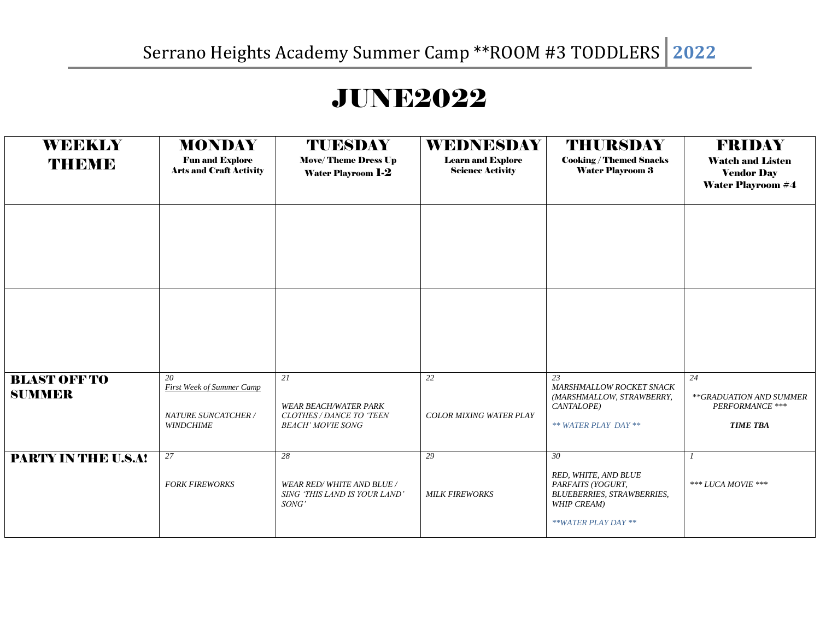## JUNE2022

| <b>WEEKLY</b><br>THEME               | <b>MONDAY</b><br><b>Fun and Explore</b><br><b>Arts and Craft Activity</b>         | <b>TUESDAY</b><br><b>Move/Theme Dress Up</b><br><b>Water Playroom 1-2</b>                  | WEDNESDAY<br><b>Learn and Explore</b><br><b>Science Activity</b> | <b>THURSDAY</b><br><b>Cooking / Themed Snacks</b><br><b>Water Playroom 3</b>                                               | <b>FRIDAY</b><br><b>Watch and Listen</b><br><b>Vendor Day</b><br><b>Water Playroom #4</b> |
|--------------------------------------|-----------------------------------------------------------------------------------|--------------------------------------------------------------------------------------------|------------------------------------------------------------------|----------------------------------------------------------------------------------------------------------------------------|-------------------------------------------------------------------------------------------|
|                                      |                                                                                   |                                                                                            |                                                                  |                                                                                                                            |                                                                                           |
|                                      |                                                                                   |                                                                                            |                                                                  |                                                                                                                            |                                                                                           |
| <b>BLAST OFF TO</b><br><b>SUMMER</b> | 20<br><b>First Week of Summer Camp</b><br>NATURE SUNCATCHER /<br><b>WINDCHIME</b> | 21<br><b>WEAR BEACH/WATER PARK</b><br>CLOTHES / DANCE TO 'TEEN<br><b>BEACH' MOVIE SONG</b> | 22<br>COLOR MIXING WATER PLAY                                    | 23<br>MARSHMALLOW ROCKET SNACK<br>(MARSHMALLOW, STRAWBERRY,<br>CANTALOPE)<br>** WATER PLAY DAY **                          | 24<br>**GRADUATION AND SUMMER<br>PERFORMANCE ***<br><b>TIME TBA</b>                       |
| PARTY IN THE U.S.A!                  | 27<br><b>FORK FIREWORKS</b>                                                       | 28<br><b>WEAR RED/WHITE AND BLUE /</b><br>SING 'THIS LAND IS YOUR LAND'<br>SONG'           | 29<br><b>MILK FIREWORKS</b>                                      | 30<br>RED, WHITE, AND BLUE<br>PARFAITS (YOGURT,<br><b>BLUEBERRIES, STRAWBERRIES,</b><br>WHIP CREAM)<br>**WATER PLAY DAY ** | *** LUCA MOVIE ***                                                                        |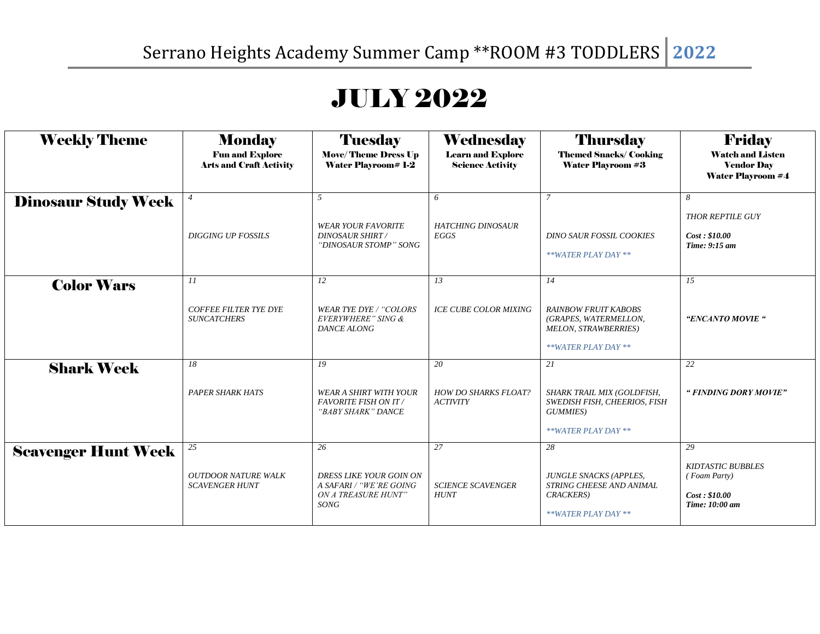## JULY 2022

| <b>Weekly Theme</b>        | <b>Monday</b><br><b>Fun and Explore</b><br><b>Arts and Craft Activity</b> | <b>Tuesday</b><br><b>Move/Theme Dress Up</b><br><b>Water Playroom# 1-2</b>                     | <b>Wednesday</b><br><b>Learn and Explore</b><br><b>Science Activity</b> | <b>Thursday</b><br><b>Themed Snacks/Cooking</b><br><b>Water Playroom #3</b>                               | <b>Friday</b><br><b>Watch and Listen</b><br><b>Vendor Day</b><br><b>Water Playroom #4</b> |
|----------------------------|---------------------------------------------------------------------------|------------------------------------------------------------------------------------------------|-------------------------------------------------------------------------|-----------------------------------------------------------------------------------------------------------|-------------------------------------------------------------------------------------------|
| <b>Dinosaur Study Week</b> | <b>DIGGING UP FOSSILS</b>                                                 | $\overline{5}$<br><b>WEAR YOUR FAVORITE</b><br><b>DINOSAUR SHIRT/</b><br>"DINOSAUR STOMP" SONG | 6<br><b>HATCHING DINOSAUR</b><br>EGGS                                   | $\overline{7}$<br><b>DINO SAUR FOSSIL COOKIES</b><br>**WATER PLAY DAY **                                  | 8<br><b>THOR REPTILE GUY</b><br>Cost: \$10.00<br>Time: 9:15 am                            |
| <b>Color Wars</b>          | 11<br><b>COFFEE FILTER TYE DYE</b><br><b>SUNCATCHERS</b>                  | 12<br><b>WEAR TYE DYE / "COLORS</b><br>EVERYWHERE" SING &<br>DANCE ALONG                       | 13<br><b>ICE CUBE COLOR MIXING</b>                                      | 14<br><b>RAINBOW FRUIT KABOBS</b><br>(GRAPES, WATERMELLON,<br>MELON, STRAWBERRIES)<br>**WATER PLAY DAY ** | 15<br>"ENCANTO MOVIE"                                                                     |
| <b>Shark Week</b>          | 18<br><b>PAPER SHARK HATS</b>                                             | 19<br><b>WEAR A SHIRT WITH YOUR</b><br><b>FAVORITE FISH ON IT /</b><br>"BABY SHARK" DANCE      | 20<br><b>HOW DO SHARKS FLOAT?</b><br><b>ACTIVITY</b>                    | 21<br>SHARK TRAIL MIX (GOLDFISH,<br>SWEDISH FISH, CHEERIOS, FISH<br>GUMMIES)<br>**WATER PLAY DAY **       | 22<br>" FINDING DORY MOVIE"                                                               |
| <b>Scavenger Hunt Week</b> | 25<br><b>OUTDOOR NATURE WALK</b><br><b>SCAVENGER HUNT</b>                 | 26<br>DRESS LIKE YOUR GOIN ON<br>A SAFARI / "WE'RE GOING<br>ON A TREASURE HUNT"<br>SONG        | 27<br><b>SCIENCE SCAVENGER</b><br><b>HUNT</b>                           | 28<br><b>JUNGLE SNACKS (APPLES,</b><br>STRING CHEESE AND ANIMAL<br>CRACKERS)<br>**WATER PLAY DAY **       | 29<br><b>KIDTASTIC BUBBLES</b><br>(Foam Party)<br>Cost: \$10.00<br>Time: 10:00 am         |